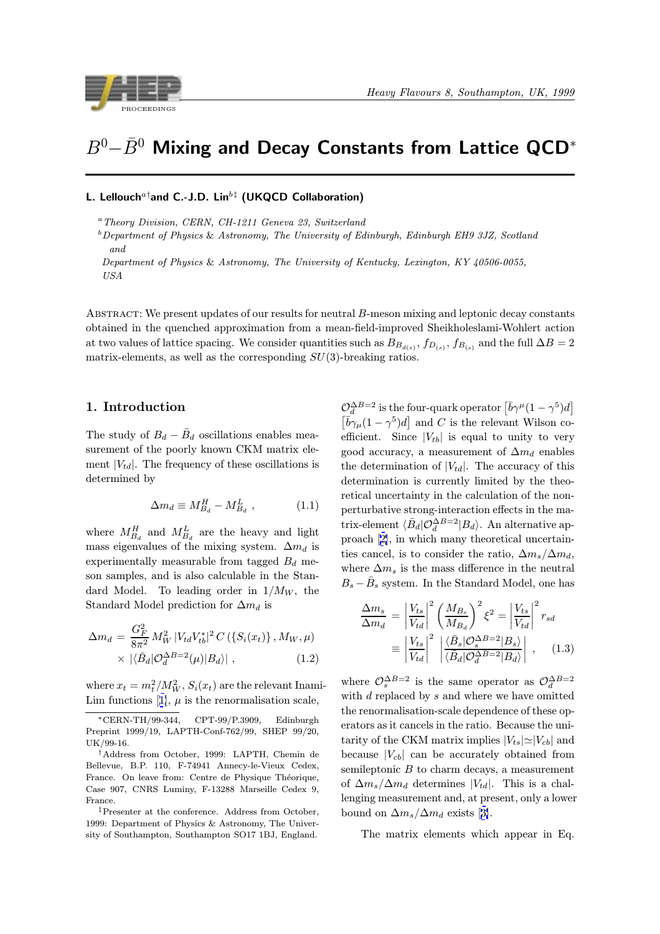<span id="page-0-0"></span>

# $B^0-\bar{B}^0$  Mixing and Decay Constants from Lattice QCD<sup>\*</sup>

# L. Lellouch<sup>a†</sup>and C.-J.D. Lin<sup>b‡</sup> (UKQCD Collaboration)

<sup>a</sup>Theory Division, CERN, CH-1211 Geneva 23, Switzerland

 $b$  Department of Physics & Astronomy, The University of Edinburgh, Edinburgh EH9 3JZ, Scotland and

Department of Physics & Astronomy, The University of Kentucky, Lexington, KY 40506-0055, USA

ABSTRACT: We present updates of our results for neutral B-meson mixing and leptonic decay constants obtained in the quenched approximation from a mean-field-improved Sheikholeslami-Wohlert action at two values of lattice spacing. We consider quantities such as  $B_{B_{d(s)}}, f_{D_{(s)}}, f_{B_{(s)}}$  and the full  $\Delta B = 2$ matrix-elements, as well as the corresponding  $SU(3)$ -breaking ratios.

## 1. Introduction

The study of  $B_d - \bar{B}_d$  oscillations enables measurement of the poorly known CKM matrix element  $|V_{td}|$ . The frequency of these oscillations is determined by

$$
\Delta m_d \equiv M_{B_d}^H - M_{B_d}^L \t\t(1.1)
$$

where  $M_{B_d}^H$  and  $M_{B_d}^L$  are the heavy and light mass eigenvalues of the mixing system.  $\Delta m_d$  is experimentally measurable from tagged  $B_d$  meson samples, and is also calculable in the Standard Model. To leading order in  $1/M_W$ , the Standard Model prediction for  $\Delta m_d$  is

$$
\Delta m_d = \frac{G_F^2}{8\pi^2} M_W^2 |V_{td} V_{tb}^*|^2 C (\{S_i(x_t)\}, M_W, \mu)
$$

$$
\times | \langle \bar{B}_d | \mathcal{O}_d^{\Delta B = 2}(\mu) | B_d \rangle | , \qquad (1.2)
$$

where  $x_t = m_t^2/M_W^2$ ,  $S_i(x_t)$  are the relevant Inami-Lim functions [1],  $\mu$  is the renormalisation scale,

‡Presenter at the conference. Address from October, 1999: Department of Physics & Astronomy, The University of Southampton, Southampton SO17 1BJ, England.

 $\mathcal{O}_d^{\Delta B=2}$  is the four-quark operator  $\left| \bar{b}\gamma^\mu (1-\gamma^5) d \right|$  $\left[\overline{b}\gamma_\mu(1-\gamma^5)d\right]$  and C is the relevant Wilson coefficient. Since  $|V_{tb}|$  is equal to unity to very good accuracy, a measurement of  $\Delta m_d$  enables the determination of  $|V_{td}|$ . The accuracy of this determination is currently limited by the theoretical uncertainty in the calculation of the nonperturbative strong-interaction effects in the matrix-element  $\langle \bar{B}_d | \mathcal{O}_d^{\Delta B=2} | B_d \rangle$ . An alternative approach [2], in which many theoretical uncertainties cancel, is to consider the ratio,  $\Delta m_s / \Delta m_d$ , where  $\Delta m_s$  is the mass difference in the neutral  $B_s - \bar{B}_s$  $B_s - \bar{B}_s$  $B_s - \bar{B}_s$  system. In the Standard Model, one has

$$
\frac{\Delta m_s}{\Delta m_d} = \left| \frac{V_{ts}}{V_{td}} \right|^2 \left( \frac{M_{Bs}}{M_{Ba}} \right)^2 \xi^2 = \left| \frac{V_{ts}}{V_{td}} \right|^2 r_{sd}
$$
\n
$$
\equiv \left| \frac{V_{ts}}{V_{td}} \right|^2 \left| \frac{\langle \bar{B}_s | \mathcal{O}_s^{\Delta B = 2} | B_s \rangle}{\langle \bar{B}_d | \mathcal{O}_d^{\Delta B = 2} | B_d \rangle} \right| , \quad (1.3)
$$

where  $\mathcal{O}_{s}^{\Delta B=2}$  is the same operator as  $\mathcal{O}_{d}^{\Delta B=2}$ with  $d$  replaced by  $s$  and where we have omitted the renormalisation-scale dependence of these operators as it cancels in the ratio. Because the unitarity of the CKM matrix implies  $|V_{ts}|\simeq |V_{cb}|$  and because  $|V_{cb}|$  can be accurately obtained from semileptonic  $B$  to charm decays, a measurement of  $\Delta m_s / \Delta m_d$  determines  $|V_{td}|$ . This is a challenging measurement and, at present, only a lower bound on  $\Delta m_s/\Delta m_d$  exists [3].

The matrix elements which appear in Eq.

<sup>∗</sup>CERN-TH/99-344, CPT-99/P.3909, Edinburgh Preprint 1999/19, LAPTH-Conf-762/99, SHEP 99/20, UK/99-16.

<sup>†</sup>Address from [O](#page-7-0)ctober, 1999: LAPTH, Chemin de Bellevue, B.P. 110, F-74941 Annecy-le-Vieux Cedex, France. On leave from: Centre de Physique Théorique, Case 907, CNRS Luminy, F-13288 Marseille Cedex 9, France.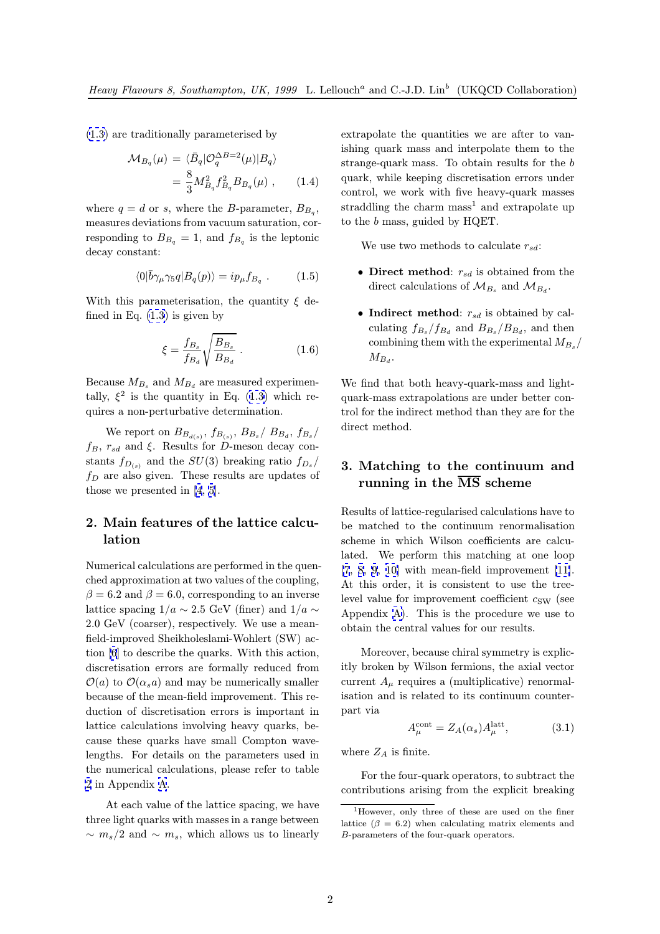(1.3) are traditionally parameterised by

$$
\mathcal{M}_{B_q}(\mu) = \langle \bar{B}_q | \mathcal{O}_q^{\Delta B = 2}(\mu) | B_q \rangle
$$
  
= 
$$
\frac{8}{3} M_{B_q}^2 f_{B_q}^2 B_{B_q}(\mu) , \qquad (1.4)
$$

where  $q = d$  or s, where the B-parameter,  $B_{B_q}$ , measures deviations from vacuum saturation, corresponding to  $B_{B_q} = 1$ , and  $f_{B_q}$  is the leptonic decay constant:

$$
\langle 0|\bar{b}\gamma_{\mu}\gamma_{5}q|B_{q}(p)\rangle = ip_{\mu}f_{B_{q}}.
$$
 (1.5)

With this parameterisation, the quantity  $\xi$  defined in Eq.  $(1.3)$  is given by

$$
\xi = \frac{f_{B_s}}{f_{B_d}} \sqrt{\frac{B_{B_s}}{B_{B_d}}} \,. \tag{1.6}
$$

Because  $M_{B_s}$  [an](#page-0-0)d  $M_{B_d}$  are measured experimentally,  $\xi^2$  is the quantity in Eq. (1.3) which requires a non-perturbative determination.

We report on  $B_{B_{d(s)}}, f_{B_{(s)}}, B_{B_s}/B_{B_d}, f_{B_s}/B_s$  $f_B, r_{sd}$  and  $\xi$ . Results for D-me[son](#page-0-0) decay constants  $f_{D(s)}$  and the  $SU(3)$  breaking ratio  $f_{D_s}/$  $f_D$  are also given. These results are updates of those we presented in [4, 5].

# 2. Main features of the lattice calculation

Numerical calculations are performed in the quenched approximation at two values of the coupling,  $\beta = 6.2$  and  $\beta = 6.0$ , corresponding to an inverse lattice spacing  $1/a \sim 2.5$  GeV (finer) and  $1/a \sim$ 2.0 GeV (coarser), respectively. We use a meanfield-improved Sheikholeslami-Wohlert (SW) action [6] to describe the quarks. With this action, discretisation errors are formally reduced from  $\mathcal{O}(a)$  to  $\mathcal{O}(\alpha_s a)$  and may be numerically smaller because of the mean-field improvement. This reducti[on](#page-7-0) of discretisation errors is important in lattice calculations involving heavy quarks, because these quarks have small Compton wavelengths. For details on the parameters used in the numerical calculations, please refer to table 2 in Appendix A.

At each value of the lattice spacing, we have three light quarks with masses in a range between  $\sim m_s/2$  and  $\sim m_s$ , which allows us to linearly

extrapolate the quantities we are after to vanishing quark mass and interpolate them to the strange-quark mass. To obtain results for the b quark, while keeping discretisation errors under control, we work with five heavy-quark masses straddling the charm mass<sup>1</sup> and extrapolate up to the b mass, guided by HQET.

We use two methods to calculate  $r_{sd}$ :

- Direct method:  $r_{sd}$  is obtained from the direct calculations of  $\mathcal{M}_{B_s}$  and  $\mathcal{M}_{B_d}$ .
- Indirect method:  $r_{sd}$  is obtained by calculating  $f_{B_s}/f_{B_d}$  and  $B_{B_s}/B_{B_d}$ , and then combining them with the experimental  $M_{B_s}$ /  $M_{B_d}$ .

We find that both heavy-quark-mass and lightquark-mass extrapolations are under better control for the indirect method than they are for the direct method.

# 3. Matching to the continuum and running in the  $\overline{\text{MS}}$  scheme

Results of lattice-regularised calculations have to be matched to the continuum renormalisation scheme in which Wilson coefficients are calculated. We perform this matching at one loop  $[7, 8, 9, 10]$  with mean-field improvement  $[11]$ . At this order, it is consistent to use the treelevel value for improvement coefficient  $c_{SW}$  (see Appendix A). This is the procedure we us[e](#page-7-0) [to](#page-7-0) [ob](#page-7-0)t[ain the c](#page-7-0)entral values for our results.

Moreover, because chiral symmetry is explicitly broke[n b](#page-6-0)y Wilson fermions, the axial vector current  $A_{\mu}$  requires a (multiplicative) renormalisation and is related to its continuum counterpart via

$$
A_{\mu}^{\text{cont}} = Z_A(\alpha_s) A_{\mu}^{\text{latt}},\tag{3.1}
$$

where  $Z_A$  is finite.

For the four-quark operators, to subtract the contributions arising from the explicit breaking

<sup>&</sup>lt;sup>1</sup>However, only three of these are used on the finer lattice  $(\beta = 6.2)$  when calculating matrix elements and B-parameters of the four-quark operators.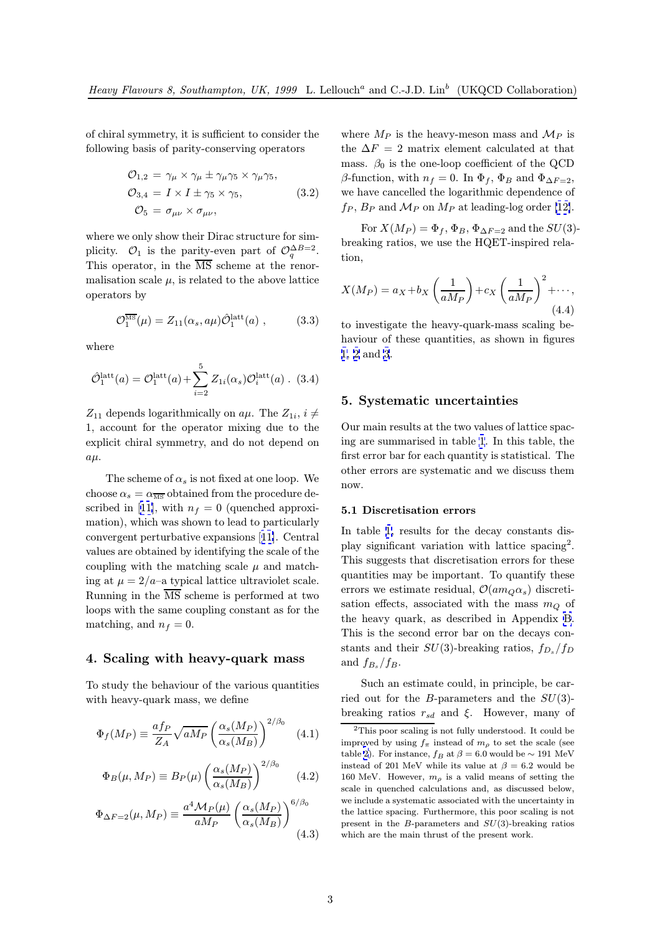<span id="page-2-0"></span>of chiral symmetry, it is sufficient to consider the following basis of parity-conserving operators

$$
\mathcal{O}_{1,2} = \gamma_{\mu} \times \gamma_{\mu} \pm \gamma_{\mu} \gamma_5 \times \gamma_{\mu} \gamma_5,
$$
  
\n
$$
\mathcal{O}_{3,4} = I \times I \pm \gamma_5 \times \gamma_5,
$$
  
\n
$$
\mathcal{O}_{5} = \sigma_{\mu\nu} \times \sigma_{\mu\nu},
$$
\n(3.2)

where we only show their Dirac structure for simplicity.  $\mathcal{O}_1$  is the parity-even part of  $\mathcal{O}_q^{\Delta B=2}$ . This operator, in the  $\overline{\text{MS}}$  scheme at the renormalisation scale  $\mu$ , is related to the above lattice operators by

$$
\mathcal{O}_1^{\overline{\text{MS}}}(\mu) = Z_{11}(\alpha_s, a\mu) \hat{\mathcal{O}}_1^{\text{latt}}(a) , \qquad (3.3)
$$

where

$$
\hat{\mathcal{O}}_1^{\text{latt}}(a) = \mathcal{O}_1^{\text{latt}}(a) + \sum_{i=2}^{5} Z_{1i}(\alpha_s) \mathcal{O}_i^{\text{latt}}(a) . (3.4)
$$

 $Z_{11}$  depends logarithmically on  $a\mu$ . The  $Z_{1i}$ ,  $i \neq$ 1, account for the operator mixing due to the explicit chiral symmetry, and do not depend on  $a\mu$ .

The scheme of  $\alpha_s$  is not fixed at one loop. We choose  $\alpha_s = \alpha_{\overline{\text{MS}}}$  obtained from the procedure described in [11], with  $n_f = 0$  (quenched approximation), which was shown to lead to particularly convergent perturbative expansions [11]. Central values are obtained by identifying the scale of the coupling w[ith](#page-7-0) the matching scale  $\mu$  and matching at  $\mu = 2/a$ –a typical lattice ultraviolet scale. Running in the  $\overline{\text{MS}}$  scheme is perfo[rme](#page-7-0)d at two loops with the same coupling constant as for the matching, and  $n_f = 0$ .

## 4. Scaling with heavy-quark mass

To study the behaviour of the various quantities with heavy-quark mass, we define

$$
\Phi_f(M_P) \equiv \frac{af_P}{Z_A} \sqrt{aM_P} \left(\frac{\alpha_s(M_P)}{\alpha_s(M_B)}\right)^{2/\beta_0} \quad (4.1)
$$

$$
\Phi_B(\mu, M_P) \equiv B_P(\mu) \left( \frac{\alpha_s(M_P)}{\alpha_s(M_B)} \right)^{2/\beta_0} \tag{4.2}
$$

$$
\Phi_{\Delta F=2}(\mu, M_P) \equiv \frac{a^4 \mathcal{M}_P(\mu)}{aM_P} \left(\frac{\alpha_s(M_P)}{\alpha_s(M_B)}\right)^{6/\beta_0}
$$
\n(4.3)

where  $M_P$  is the heavy-meson mass and  $\mathcal{M}_P$  is the  $\Delta F = 2$  matrix element calculated at that mass.  $\beta_0$  is the one-loop coefficient of the QCD β-function, with  $n_f = 0$ . In  $\Phi_f$ ,  $\Phi_B$  and  $\Phi_{\Delta F=2}$ , we have cancelled the logarithmic dependence of  $f_P$ ,  $B_P$  and  $\mathcal{M}_P$  on  $M_P$  at leading-log order [12].

For  $X(M_P) = \Phi_f$ ,  $\Phi_B$ ,  $\Phi_{\Delta F=2}$  and the  $SU(3)$ breaking ratios, we use the HQET-inspired relation,

$$
X(M_P) = a_X + b_X \left(\frac{1}{aM_P}\right) + c_X \left(\frac{1}{aM_P}\right)^2 + \cdots,
$$
\n(4.4)

to investigate the heavy-quark-mass scaling behaviour of these quantities, as shown in figures 1, 2 and 3.

#### [5](#page-3-0). [S](#page-4-0)ys[te](#page-5-0)matic uncertainties

Our main results at the two values of lattice spacing are summarised in table 1. In this table, the first error bar for each quantity is statistical. The other errors are systematic and we discuss them now.

#### 5.1 Discretisation errors

In table 1, results for the decay constants display significant variation with lattice spacing<sup>2</sup>. This suggests that discretisation errors for these quantities may be important. To quantify these errors we [e](#page-6-0)stimate residual,  $\mathcal{O}(am_Q\alpha_s)$  discretisation effects, associated with the mass  $m_Q$  of the heavy quark, as described in Appendix B. This is the second error bar on the decays constants and their  $SU(3)$ -breaking ratios,  $f_{D_s}/f_D$ and  $f_{B_s}/f_B$ .

Such an estimate could, in principle, be c[ar](#page-6-0)ried out for the B-parameters and the  $SU(3)$ breaking ratios  $r_{sd}$  and  $\xi$ . However, many of

<sup>2</sup>This poor scaling is not fully understood. It could be improved by using  $f_{\pi}$  instead of  $m_{\rho}$  to set the scale (see table 2). For instance,  $f_B$  at  $\beta = 6.0$  would be  $\sim 191$  MeV instead of 201 MeV while its value at  $\beta = 6.2$  would be 160 MeV. However,  $m_{\rho}$  is a valid means of setting the scale in quenched calculations and, as discussed below, we include a systematic associated with the uncertainty in the l[at](#page-6-0)tice spacing. Furthermore, this poor scaling is not present in the  $B$ -parameters and  $SU(3)$ -breaking ratios which are the main thrust of the present work.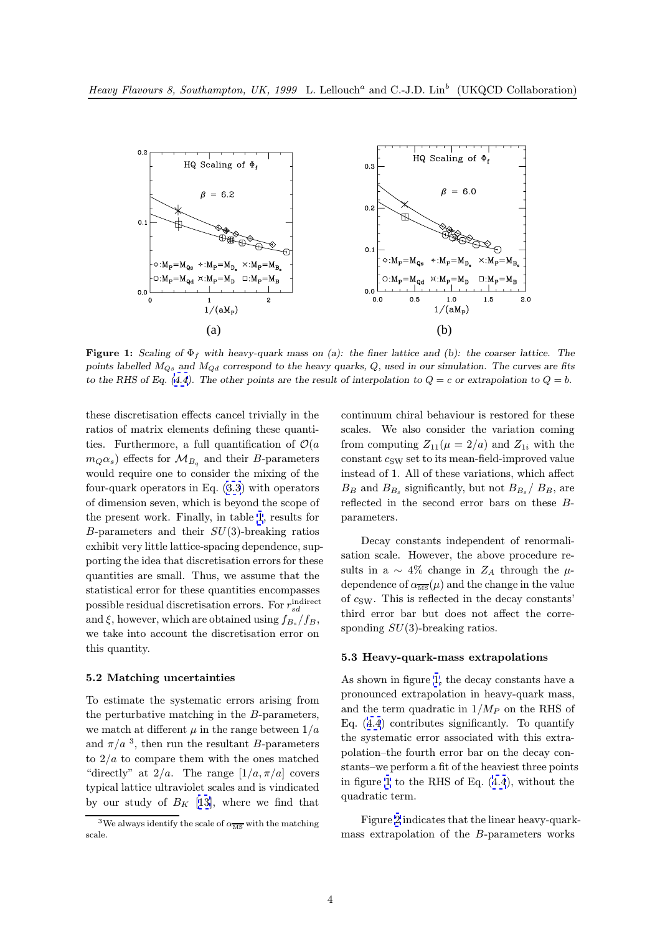<span id="page-3-0"></span>

**Figure 1:** Scaling of  $\Phi_f$  with heavy-quark mass on (a): the finer lattice and (b): the coarser lattice. The points labelled  $M_{Q_3}$  and  $M_{Qd}$  correspond to the heavy quarks, Q, used in our simulation. The curves are fits to the RHS of Eq. (4.4). The other points are the result of interpolation to  $Q = c$  or extrapolation to  $Q = b$ .

these discretisation effects cancel trivially in the ratios of matrix e[lem](#page-2-0)ents defining these quantities. Furthermore, a full quantification of  $\mathcal{O}(a)$  $m_Q\alpha_s$ ) effects for  $\mathcal{M}_{B_q}$  and their B-parameters would require one to consider the mixing of the four-quark operators in Eq. (3.3) with operators of dimension seven, which is beyond the scope of the present work. Finally, in table 1, results for B-parameters and their  $SU(3)$ -breaking ratios exhibit very little lattice-spac[ing](#page-2-0) dependence, supporting the idea that discretisation errors for these quantities are small. Thus, we ass[um](#page-6-0)e that the statistical error for these quantities encompasses possible residual discretisation errors. For  $r_{sd}^{\text{indirect}}$ and  $\xi$ , however, which are obtained using  $f_{B_s}/f_B$ , we take into account the discretisation error on this quantity.

#### 5.2 Matching uncertainties

To estimate the systematic errors arising from the perturbative matching in the B-parameters, we match at different  $\mu$  in the range between  $1/a$ and  $\pi/a$ <sup>3</sup>, then run the resultant B-parameters to  $2/a$  to compare them with the ones matched "directly" at  $2/a$ . The range  $[1/a, \pi/a]$  covers typical lattice ultraviolet scales and is vindicated by our study of  $B_K$  [13], where we find that continuum chiral behaviour is restored for these scales. We also consider the variation coming from computing  $Z_{11}(\mu = 2/a)$  and  $Z_{1i}$  with the  $constant\ c_{SW}$  set to its mean-field-improved value instead of 1. All of these variations, which affect  $B_B$  and  $B_{B_s}$  significantly, but not  $B_{B_s}/B_B$ , are reflected in the second error bars on these Bparameters.

Decay constants independent of renormalisation scale. However, the above procedure results in a  $\sim$  4% change in  $Z_A$  through the  $\mu$ dependence of  $\alpha_{\overline{\text{MS}}}(\mu)$  and the change in the value of  $c_{SW}$ . This is reflected in the decay constants' third error bar but does not affect the corresponding  $SU(3)$ -breaking ratios.

#### 5.3 Heavy-quark-mass extrapolations

As shown in figure 1, the decay constants have a pronounced extrapolation in heavy-quark mass, and the term quadratic in  $1/M_P$  on the RHS of Eq. (4.4) contributes significantly. To quantify the systematic error associated with this extrapolation–the fourth error bar on the decay constants–we perform a fit of the heaviest three points in fig[ure](#page-2-0) 1 to the RHS of Eq. (4.4), without the quadratic term.

Figure 2 indicates that the linear heavy-quarkmass extrapolation of the B-[para](#page-2-0)meters works

<sup>&</sup>lt;sup>3</sup>We always identify the scale of  $\alpha_{\overline{\rm MS}}$  with the matching scale.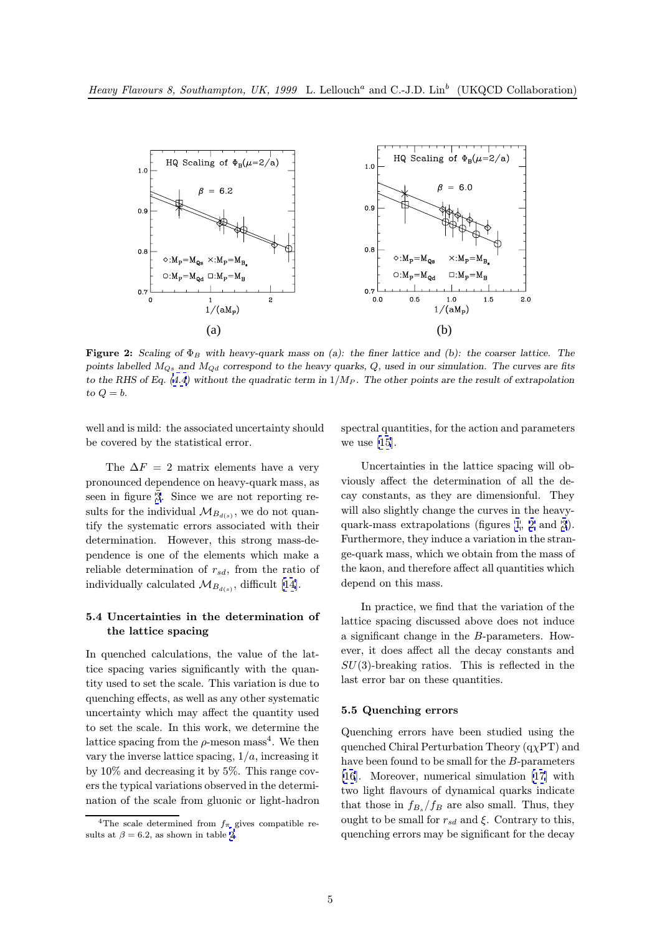<span id="page-4-0"></span>

Figure 2: Scaling of  $\Phi_B$  with heavy-quark mass on (a): the finer lattice and (b): the coarser lattice. The points labelled  $M_{Q_3}$  and  $M_{Qd}$  correspond to the heavy quarks, Q, used in our simulation. The curves are fits to the RHS of Eq. (4.4) without the quadratic term in  $1/M_P$ . The other points are the result of extrapolation to  $Q = b$ .

well and is mild: t[he a](#page-2-0)ssociated uncertainty should be covered by the statistical error.

The  $\Delta F = 2$  matrix elements have a very pronounced dependence on heavy-quark mass, as seen in figure 3. Since we are not reporting results for the individual  $\mathcal{M}_{B_{d(s)}}$ , we do not quantify the systematic errors associated with their determination. However, this strong mass-dependence is o[ne](#page-5-0) of the elements which make a reliable determination of  $r_{sd}$ , from the ratio of individually calculated  $\mathcal{M}_{B_{d(s)}}$ , difficult [14].

## 5.4 Uncertainties in the determination of the lattice spacing

In quenched calculations, the value of the lattice spacing varies significantly with the quantity used to set the scale. This variation is due to quenching effects, as well as any other systematic uncertainty which may affect the quantity used to set the scale. In this work, we determine the lattice spacing from the  $\rho$ -meson mass<sup>4</sup>. We then vary the inverse lattice spacing,  $1/a$ , increasing it by 10% and decreasing it by 5%. This range covers the typical variations observed in the determination of the scale from gluonic or light-hadron spectral quantities, for the action and parameters we use [15].

Uncertainties in the lattice spacing will obviously affect the determination of all the decay con[sta](#page-7-0)nts, as they are dimensionful. They will also slightly change the curves in the heavyquark-mass extrapolations (figures 1, 2 and 3). Furthermore, they induce a variation in the strange-quark mass, which we obtain from the mass of the kaon, and therefore affect all qua[nt](#page-3-0)ities wh[ic](#page-5-0)h depend on this mass.

In practice, we find that the variation of the lattice spacing discussed above does not induce a significant change in the B-parameters. However, it does affect all the decay constants and  $SU(3)$ -breaking ratios. This is reflected in the last error bar on these quantities.

#### 5.5 Quenching errors

Quenching errors have been studied using the quenched Chiral Perturbation Theory  $(q<sub>X</sub>PT)$  and have been found to be small for the B-parameters [16]. Moreover, numerical simulation [17] with two light flavours of dynamical quarks indicate that those in  $f_{B_s}/f_B$  are also small. Thus, they ought to be small for  $r_{sd}$  and ξ. Contrary to this, [que](#page-7-0)nching errors may be significant for [the](#page-7-0) decay

<sup>&</sup>lt;sup>4</sup>The scale determined from  $f_{\pi}$  gives compatible results at  $\beta = 6.2$ , as shown in table 2.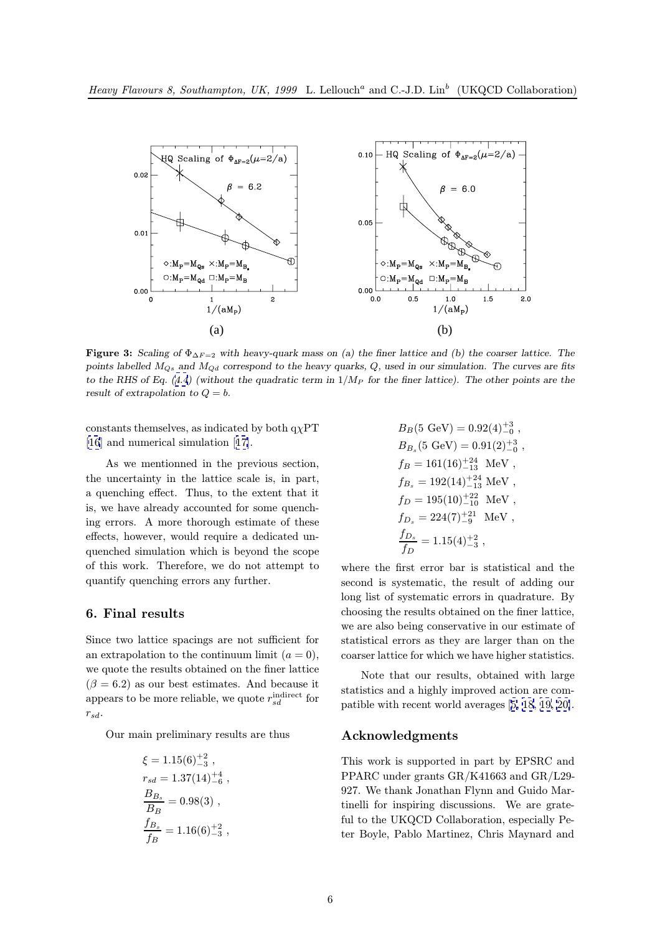<span id="page-5-0"></span>

Figure 3: Scaling of  $\Phi_{\Delta F=2}$  with heavy-quark mass on (a) the finer lattice and (b) the coarser lattice. The points labelled  $M_{Q_3}$  and  $M_{Qd}$  correspond to the heavy quarks, Q, used in our simulation. The curves are fits to the RHS of Eq. (4.4) (without the quadratic term in  $1/M_P$  for the finer lattice). The other points are the result of extrapolation to  $Q = b$ .

constants themsel[ves,](#page-2-0) as indicated by both  $q\chi PT$ [16] and numerical simulation [17].

As we mentionned in the previous section, the uncertainty in the lattice scale is, in part, [a q](#page-7-0)uenching effect. Thus, to [the](#page-7-0) extent that it is, we have already accounted for some quenching errors. A more thorough estimate of these effects, however, would require a dedicated unquenched simulation which is beyond the scope of this work. Therefore, we do not attempt to quantify quenching errors any further.

## 6. Final results

Since two lattice spacings are not sufficient for an extrapolation to the continuum limit  $(a = 0)$ , we quote the results obtained on the finer lattice  $(\beta = 6.2)$  as our best estimates. And because it appears to be more reliable, we quote  $r_{sd}^{\text{indirect}}$  for  $r_{sd}$ .

Our main preliminary results are thus

$$
\xi = 1.15(6)_{-3}^{+2} ,r_{sd} = 1.37(14)_{-6}^{+4} ,\n\frac{B_{B_s}}{B_B} = 0.98(3) ,\n\frac{f_{B_s}}{f_B} = 1.16(6)_{-3}^{+2} ,
$$

$$
\begin{aligned} &B_B(5\ \mathrm{GeV})=0.92(4)^{+3}_{-0}\ ,\\ &B_{B_s}(5\ \mathrm{GeV})=0.91(2)^{+3}_{-0}\ ,\\ &f_B=161(16)^{+24}_{-13}\ \mathrm{MeV}\ ,\\ &f_{B_s}=192(14)^{+24}_{-13}\ \mathrm{MeV}\ ,\\ &f_D=195(10)^{+22}_{-10}\ \mathrm{MeV}\ ,\\ &f_{D_s}=224(7)^{+21}_{-9}\ \mathrm{MeV}\ ,\\ &\frac{f_{D_s}}{f_D}=1.15(4)^{+2}_{-3}\ , \end{aligned}
$$

where the first error bar is statistical and the second is systematic, the result of adding our long list of systematic errors in quadrature. By choosing the results obtained on the finer lattice, we are also being conservative in our estimate of statistical errors as they are larger than on the coarser lattice for which we have higher statistics.

Note that our results, obtained with large statistics and a highly improved action are compatible with recent world averages [5, 18, 19, 20].

## Acknowledgments

This work is supported in part by [EPSRC and](#page-7-0) PPARC under grants GR/K41663 and GR/L29- 927. We thank Jonathan Flynn and Guido Martinelli for inspiring discussions. We are grateful to the UKQCD Collaboration, especially Peter Boyle, Pablo Martinez, Chris Maynard and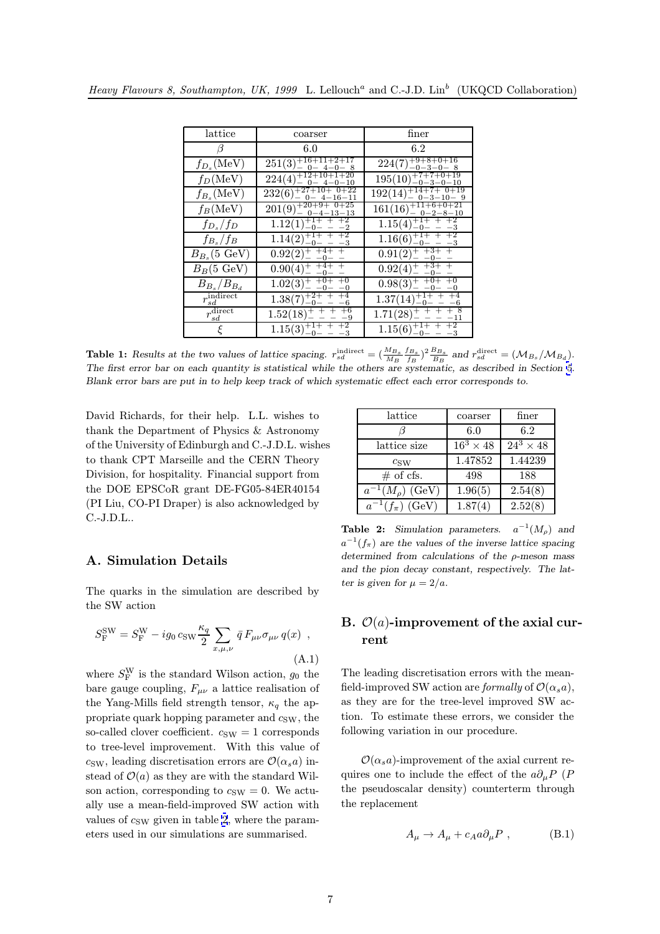<span id="page-6-0"></span>

| lattice                 | coarser                                              | finer                                                                |
|-------------------------|------------------------------------------------------|----------------------------------------------------------------------|
| В                       | 6.0                                                  | 6.2                                                                  |
| $f_{D_s}(\text{MeV})$   | $251(3)_{-0-4-0-8}^{+16+11+2+17}$                    | $224(7)_{-0-3-0-8}^{+9+8+0+16}$                                      |
| $f_D(\text{MeV})$       | $224(4)_{-0}^{+12+10+1+20}$                          | $195(10)^{+7+7+0+19}_{-0-3-0-10}$                                    |
| $f_{B_s}(\text{MeV})$   | $232(6)_{-0-4-16-11}^{+27+10+0+22}$<br>$4 - 16 - 11$ | $192(14)_{-0-3-10-9}^{+14+7+0+19}$                                   |
| $f_B(\text{MeV})$       | $201(9)_{-0-4-13-13}^{+20+9+0+25}$                   | $161(16)_{-0-2-8-10}^{+11+6+0+21}$                                   |
| $f_{D_s}/f_D$           | $1.12(1)_{-0-}^{+1+}$ + $+2$<br>-2                   | $\frac{1.15(4)}{1.0-0-1}$<br>$\begin{array}{c} +2 \\ -3 \end{array}$ |
| $f_{B_s}/f_B$           | $1.14(2)^{+1+\n}$ + $-1/2$<br>-0-                    | $1.16(6)^{+1+\;+\;+\;+2}_{-0-\;-\;-\;-3}$                            |
| $B_{B_s}$ (5 GeV)       | $0.92(2)^{+\,+4+}_{-\,-0-}$                          | $0.91(2)^{+\,+3+}_{-\,-0-}$                                          |
| $B_B(5 \text{ GeV})$    | $0.90(4)_{-}^{+}$ $_{-0-}^{+4+}$                     | $0.92(4)_{-}^{+}$ $_{-0-}^{+3+}$                                     |
| $B_{B_s}/B_{B_d}$       | $1.02(3)^{+\,+0+}_{-\,-0-}$                          | $0.98(3)^{+\t+0}_{-\t-0}$                                            |
| $r^{\rm indirect}_{sd}$ | $\overline{1.38(7)^{+2+}_{-0-}}$ +                   | $1.37(14)_{-0-}^{+1+}$                                               |
| $r_{sd}^{\rm direct}$   | $1.52(18) + + + +6$                                  | $1.71(28) + + + +8$<br>$^{-11}$                                      |
|                         | $\frac{1}{1.15(3)^{+1+\atop -0-}}$                   | $1.15(6)_{-0-}^{+1+}$ +<br>-3                                        |

**Table 1:** Results at the two values of lattice spacing.  $r_{sd}^{\text{indirect}} = (\frac{M_{B_s}}{M_B} \frac{f_{B_s}}{f_B})^2 \frac{B_{B_s}}{B_s}$  and  $r_{sd}^{\text{direct}} = (\mathcal{M}_{B_s}/\mathcal{M}_{B_d})$ .<br>The first error han an each superitive is statistical while the others are The first error bar on each quantity is statistical while the others are systematic, as described in Section 5. Blank error bars are put in to help keep track of which systematic effect each error corresponds to.

David Richards, for their help. L.L. wishes to thank the Department of Physics & Astronomy of the University of Edinburgh and C.-J.D.L. wishes to thank CPT Marseille and the CERN Theory Division, for hospitality. Financial support from the DOE EPSCoR grant DE-FG05-84ER40154 (PI Liu, CO-PI Draper) is also acknowledged by C.-J.D.L..

| lattice                 | coarser          | finer            |
|-------------------------|------------------|------------------|
|                         | 6.0              | 6.2              |
| lattice size            | $16^3 \times 48$ | $24^3 \times 48$ |
| $c_{\text{SW}}$         | 1.47852          | 1.44239          |
| $#$ of cfs.             | 498              | 188              |
| $a^{-1}(M_o)$ (GeV)     | 1.96(5)          | 2.54(8)          |
| $a^{-1}(f_{\pi})$ (GeV) | 1.87(4)          | 2.52(8)          |

# A. Simulation Details

The quarks in the simulation are described by the SW action

$$
S_{\rm F}^{\rm SW} = S_{\rm F}^{\rm W} - ig_0 \cos \frac{\kappa_q}{2} \sum_{x,\mu,\nu} \bar{q} F_{\mu\nu} \sigma_{\mu\nu} q(x) , \qquad (A.1)
$$

where  $S_F^{\rm W}$  is the standard Wilson action,  $g_0$  the bare gauge coupling,  $F_{\mu\nu}$  a lattice realisation of the Yang-Mills field strength tensor,  $\kappa_q$  the appropriate quark hopping parameter and  $c_{SW}$ , the so-called clover coefficient.  $c_{SW} = 1$  corresponds to tree-level improvement. With this value of  $c_{\text{SW}}$ , leading discretisation errors are  $\mathcal{O}(\alpha_s a)$  instead of  $\mathcal{O}(a)$  as they are with the standard Wilson action, corresponding to  $c_{SW} = 0$ . We actually use a mean-field-improved SW action with values of  $c_{SW}$  given in table 2, where the parameters used in our simulations are summarised.

**Table 2:** Simulation parameters.  $a^{-1}(M_0)$  and  $a^{-1}(f_\pi)$  are the values of the inverse lattice spacing determined from calculations of the  $\rho$ -meson mass and the pion decay constant, respectively. The latter is given for  $\mu = 2/a$ .

# B.  $\mathcal{O}(a)$ -improvement of the axial current

The leading discretisation errors with the meanfield-improved SW action are formally of  $\mathcal{O}(\alpha_s a)$ , as they are for the tree-level improved SW action. To estimate these errors, we consider the following variation in our procedure.

 $\mathcal{O}(\alpha_s a)$ -improvement of the axial current requires one to include the effect of the  $a\partial_{\mu}P(P)$ the pseudoscalar density) counterterm through the replacement

$$
A_{\mu} \to A_{\mu} + c_A a \partial_{\mu} P , \qquad (B.1)
$$